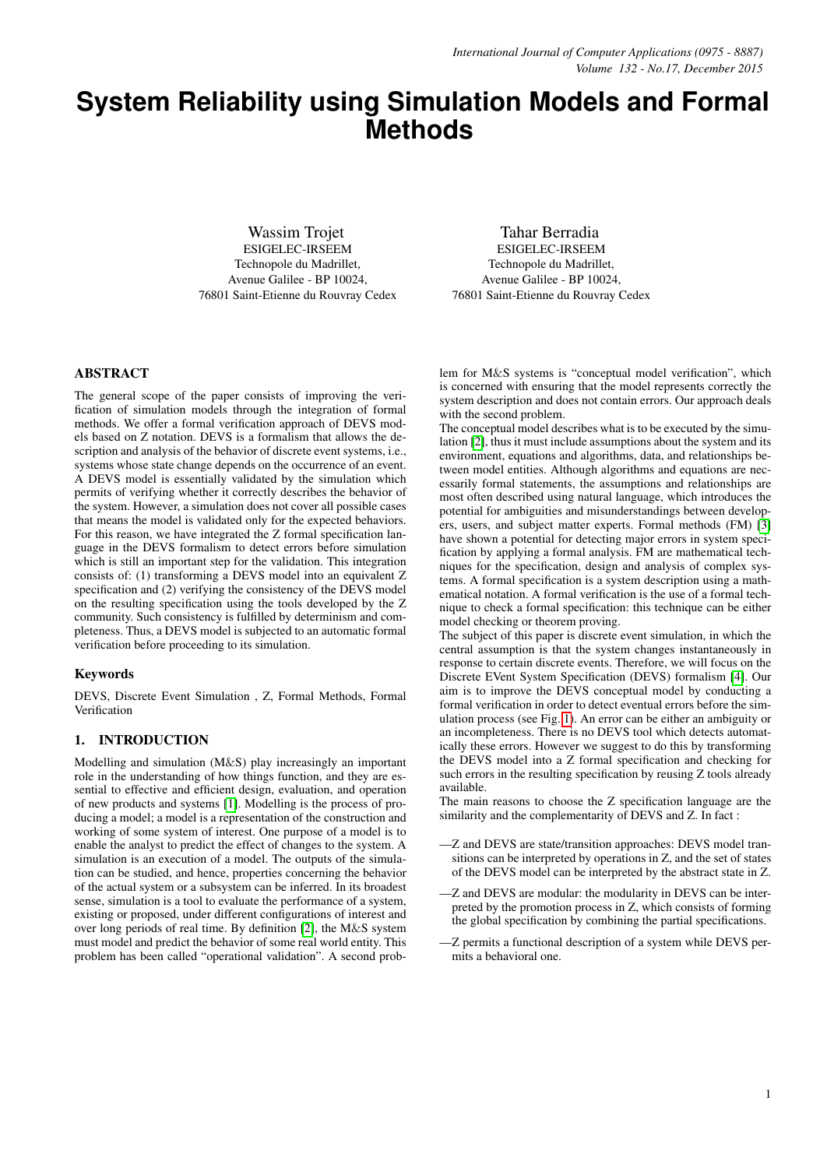# **System Reliability using Simulation Models and Formal Methods**

Wassim Trojet ESIGELEC-IRSEEM Technopole du Madrillet, Avenue Galilee - BP 10024, 76801 Saint-Etienne du Rouvray Cedex

Tahar Berradia ESIGELEC-IRSEEM Technopole du Madrillet, Avenue Galilee - BP 10024, 76801 Saint-Etienne du Rouvray Cedex

# ABSTRACT

The general scope of the paper consists of improving the verification of simulation models through the integration of formal methods. We offer a formal verification approach of DEVS models based on Z notation. DEVS is a formalism that allows the description and analysis of the behavior of discrete event systems, i.e., systems whose state change depends on the occurrence of an event. A DEVS model is essentially validated by the simulation which permits of verifying whether it correctly describes the behavior of the system. However, a simulation does not cover all possible cases that means the model is validated only for the expected behaviors. For this reason, we have integrated the Z formal specification language in the DEVS formalism to detect errors before simulation which is still an important step for the validation. This integration consists of: (1) transforming a DEVS model into an equivalent Z specification and (2) verifying the consistency of the DEVS model on the resulting specification using the tools developed by the Z community. Such consistency is fulfilled by determinism and completeness. Thus, a DEVS model is subjected to an automatic formal verification before proceeding to its simulation.

## Keywords

DEVS, Discrete Event Simulation , Z, Formal Methods, Formal Verification

# 1. INTRODUCTION

Modelling and simulation (M&S) play increasingly an important role in the understanding of how things function, and they are essential to effective and efficient design, evaluation, and operation of new products and systems [\[1\]](#page-6-0). Modelling is the process of producing a model; a model is a representation of the construction and working of some system of interest. One purpose of a model is to enable the analyst to predict the effect of changes to the system. A simulation is an execution of a model. The outputs of the simulation can be studied, and hence, properties concerning the behavior of the actual system or a subsystem can be inferred. In its broadest sense, simulation is a tool to evaluate the performance of a system, existing or proposed, under different configurations of interest and over long periods of real time. By definition [\[2\]](#page-6-1), the M&S system must model and predict the behavior of some real world entity. This problem has been called "operational validation". A second prob-

lem for M&S systems is "conceptual model verification", which is concerned with ensuring that the model represents correctly the system description and does not contain errors. Our approach deals with the second problem.

The conceptual model describes what is to be executed by the simulation [\[2\]](#page-6-1), thus it must include assumptions about the system and its environment, equations and algorithms, data, and relationships between model entities. Although algorithms and equations are necessarily formal statements, the assumptions and relationships are most often described using natural language, which introduces the potential for ambiguities and misunderstandings between developers, users, and subject matter experts. Formal methods (FM) [\[3\]](#page-6-2) have shown a potential for detecting major errors in system specification by applying a formal analysis. FM are mathematical techniques for the specification, design and analysis of complex systems. A formal specification is a system description using a mathematical notation. A formal verification is the use of a formal technique to check a formal specification: this technique can be either model checking or theorem proving.

The subject of this paper is discrete event simulation, in which the central assumption is that the system changes instantaneously in response to certain discrete events. Therefore, we will focus on the Discrete EVent System Specification (DEVS) formalism [\[4\]](#page-6-3). Our aim is to improve the DEVS conceptual model by conducting a formal verification in order to detect eventual errors before the simulation process (see Fig. [1\)](#page-1-0). An error can be either an ambiguity or an incompleteness. There is no DEVS tool which detects automatically these errors. However we suggest to do this by transforming the DEVS model into a Z formal specification and checking for such errors in the resulting specification by reusing Z tools already available.

The main reasons to choose the Z specification language are the similarity and the complementarity of DEVS and Z. In fact :

- —Z and DEVS are state/transition approaches: DEVS model transitions can be interpreted by operations in Z, and the set of states of the DEVS model can be interpreted by the abstract state in Z.
- —Z and DEVS are modular: the modularity in DEVS can be interpreted by the promotion process in Z, which consists of forming the global specification by combining the partial specifications.
- —Z permits a functional description of a system while DEVS permits a behavioral one.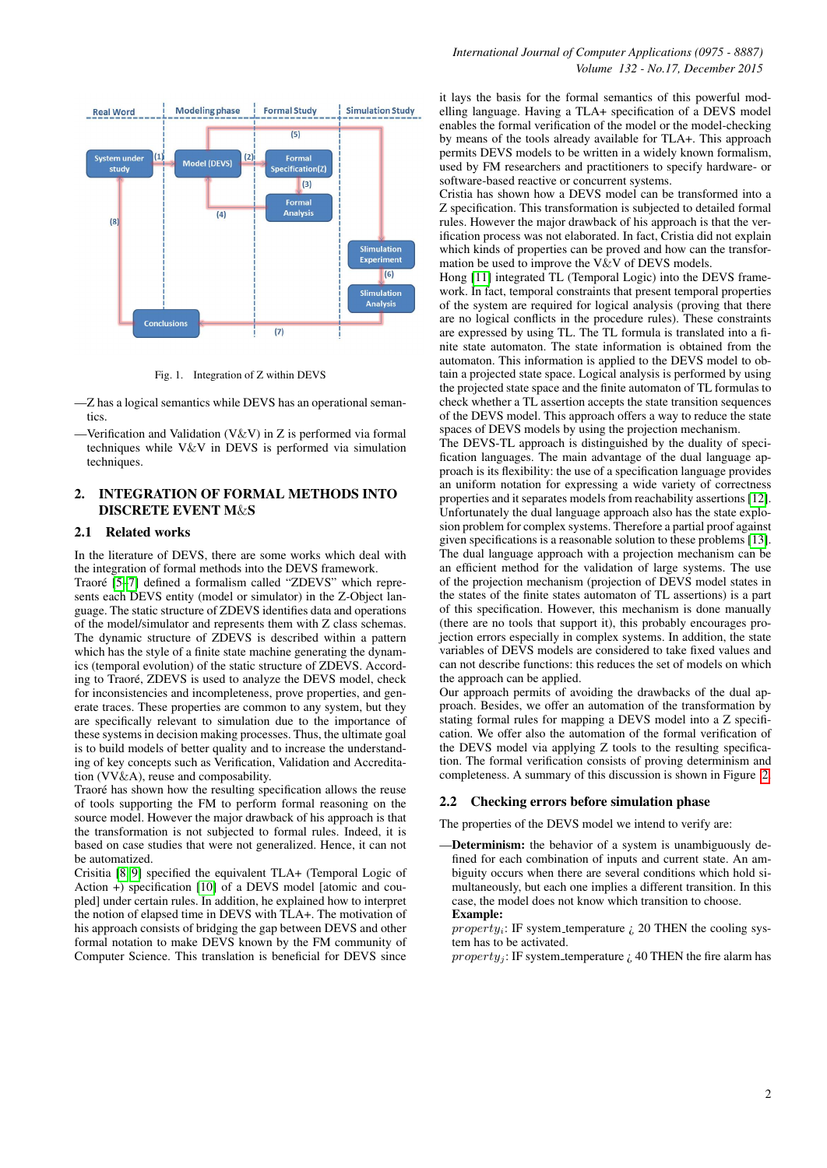

<span id="page-1-0"></span>Fig. 1. Integration of Z within DEVS

—Z has a logical semantics while DEVS has an operational semantics.

—Verification and Validation (V&V) in Z is performed via formal techniques while V&V in DEVS is performed via simulation techniques.

# 2. INTEGRATION OF FORMAL METHODS INTO DISCRETE EVENT M&S

#### 2.1 Related works

In the literature of DEVS, there are some works which deal with the integration of formal methods into the DEVS framework.

Traoré [5-[7\]](#page-6-5) defined a formalism called "ZDEVS" which represents each DEVS entity (model or simulator) in the Z-Object language. The static structure of ZDEVS identifies data and operations of the model/simulator and represents them with Z class schemas. The dynamic structure of ZDEVS is described within a pattern which has the style of a finite state machine generating the dynamics (temporal evolution) of the static structure of ZDEVS. According to Traoré, ZDEVS is used to analyze the DEVS model, check for inconsistencies and incompleteness, prove properties, and generate traces. These properties are common to any system, but they are specifically relevant to simulation due to the importance of these systems in decision making processes. Thus, the ultimate goal is to build models of better quality and to increase the understanding of key concepts such as Verification, Validation and Accreditation (VV&A), reuse and composability.

Traoré has shown how the resulting specification allows the reuse of tools supporting the FM to perform formal reasoning on the source model. However the major drawback of his approach is that the transformation is not subjected to formal rules. Indeed, it is based on case studies that were not generalized. Hence, it can not be automatized.

Crisitia [\[8,](#page-6-6) [9\]](#page-6-7) specified the equivalent TLA+ (Temporal Logic of Action +) specification [\[10\]](#page-6-8) of a DEVS model [atomic and coupled] under certain rules. In addition, he explained how to interpret the notion of elapsed time in DEVS with TLA+. The motivation of his approach consists of bridging the gap between DEVS and other formal notation to make DEVS known by the FM community of Computer Science. This translation is beneficial for DEVS since

it lays the basis for the formal semantics of this powerful modelling language. Having a TLA+ specification of a DEVS model enables the formal verification of the model or the model-checking by means of the tools already available for TLA+. This approach permits DEVS models to be written in a widely known formalism, used by FM researchers and practitioners to specify hardware- or software-based reactive or concurrent systems.

Cristia has shown how a DEVS model can be transformed into a Z specification. This transformation is subjected to detailed formal rules. However the major drawback of his approach is that the verification process was not elaborated. In fact, Cristia did not explain which kinds of properties can be proved and how can the transformation be used to improve the V $\&$ V of DEVS models.

Hong [\[11\]](#page-6-9) integrated TL (Temporal Logic) into the DEVS framework. In fact, temporal constraints that present temporal properties of the system are required for logical analysis (proving that there are no logical conflicts in the procedure rules). These constraints are expressed by using TL. The TL formula is translated into a finite state automaton. The state information is obtained from the automaton. This information is applied to the DEVS model to obtain a projected state space. Logical analysis is performed by using the projected state space and the finite automaton of TL formulas to check whether a TL assertion accepts the state transition sequences of the DEVS model. This approach offers a way to reduce the state spaces of DEVS models by using the projection mechanism.

The DEVS-TL approach is distinguished by the duality of specification languages. The main advantage of the dual language approach is its flexibility: the use of a specification language provides an uniform notation for expressing a wide variety of correctness properties and it separates models from reachability assertions [\[12\]](#page-6-10). Unfortunately the dual language approach also has the state explosion problem for complex systems. Therefore a partial proof against given specifications is a reasonable solution to these problems [\[13\]](#page-6-11). The dual language approach with a projection mechanism can be an efficient method for the validation of large systems. The use of the projection mechanism (projection of DEVS model states in the states of the finite states automaton of TL assertions) is a part of this specification. However, this mechanism is done manually (there are no tools that support it), this probably encourages projection errors especially in complex systems. In addition, the state variables of DEVS models are considered to take fixed values and can not describe functions: this reduces the set of models on which the approach can be applied.

Our approach permits of avoiding the drawbacks of the dual approach. Besides, we offer an automation of the transformation by stating formal rules for mapping a DEVS model into a Z specification. We offer also the automation of the formal verification of the DEVS model via applying Z tools to the resulting specification. The formal verification consists of proving determinism and completeness. A summary of this discussion is shown in Figure [2.](#page-2-0)

# 2.2 Checking errors before simulation phase

The properties of the DEVS model we intend to verify are:

-Determinism: the behavior of a system is unambiguously defined for each combination of inputs and current state. An ambiguity occurs when there are several conditions which hold simultaneously, but each one implies a different transition. In this case, the model does not know which transition to choose. Example:

property<sub>i</sub>: IF system\_temperature  $\zeta$  20 THEN the cooling system has to be activated.

 $property_i$ : IF system\_temperature  $i$ , 40 THEN the fire alarm has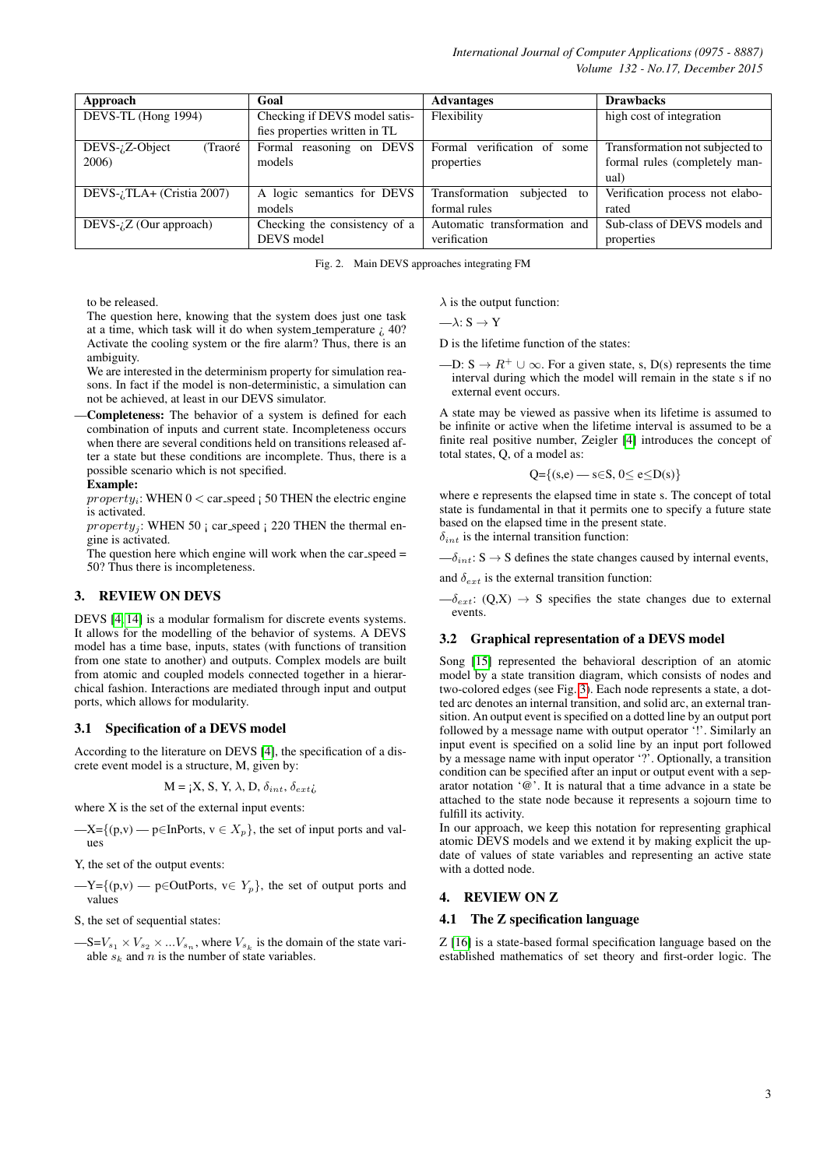*International Journal of Computer Applications (0975 - 8887) Volume 132 - No.17, December 2015*

| Approach                                         | Goal                          | <b>Advantages</b>              | <b>Drawbacks</b>                |
|--------------------------------------------------|-------------------------------|--------------------------------|---------------------------------|
| DEVS-TL (Hong 1994)                              | Checking if DEVS model satis- | Flexibility                    | high cost of integration        |
|                                                  | fies properties written in TL |                                |                                 |
| $DEVS$ - $i$ ,Z-Object<br>(Traoré                | Formal reasoning<br>on DEVS   | Formal verification of some    | Transformation not subjected to |
| 2006)                                            | models                        | properties                     | formal rules (completely man-   |
|                                                  |                               |                                | ual)                            |
| $DEVS$ - <i><sub>i</sub></i> TLA+ (Cristia 2007) | A logic semantics for DEVS    | Transformation<br>subjected to | Verification process not elabo- |
|                                                  | models                        | formal rules                   | rated                           |
| $DEVS$ - <i>i</i> . $Z$ (Our approach)           | Checking the consistency of a | Automatic transformation and   | Sub-class of DEVS models and    |
|                                                  | DEVS model                    | verification                   | properties                      |

<span id="page-2-0"></span>Fig. 2. Main DEVS approaches integrating FM

to be released.

The question here, knowing that the system does just one task at a time, which task will it do when system temperature  $i$  40? Activate the cooling system or the fire alarm? Thus, there is an ambiguity.

We are interested in the determinism property for simulation reasons. In fact if the model is non-deterministic, a simulation can not be achieved, at least in our DEVS simulator.

—Completeness: The behavior of a system is defined for each combination of inputs and current state. Incompleteness occurs when there are several conditions held on transitions released after a state but these conditions are incomplete. Thus, there is a possible scenario which is not specified.

#### Example:

 $property_i$ : WHEN  $0 <$  car\_speed  $\vert$  50 THEN the electric engine is activated.

property<sub>j</sub>: WHEN 50 ; car speed ; 220 THEN the thermal engine is activated.

The question here which engine will work when the car\_speed  $=$ 50? Thus there is incompleteness.

## 3. REVIEW ON DEVS

DEVS [\[4,](#page-6-3) [14\]](#page-6-12) is a modular formalism for discrete events systems. It allows for the modelling of the behavior of systems. A DEVS model has a time base, inputs, states (with functions of transition from one state to another) and outputs. Complex models are built from atomic and coupled models connected together in a hierarchical fashion. Interactions are mediated through input and output ports, which allows for modularity.

#### 3.1 Specification of a DEVS model

According to the literature on DEVS [\[4\]](#page-6-3), the specification of a discrete event model is a structure, M, given by:

$$
M = iX, S, Y, \lambda, D, \delta_{int}, \delta_{ext}\lambda
$$

where X is the set of the external input events:

—X={(p,v) — p∈InPorts,  $v \in X_p$ }, the set of input ports and values

Y, the set of the output events:

 $-Y={p, v) \longrightarrow p \in OutPorts, v \in Y_p}$ , the set of output ports and values

S, the set of sequential states:

 $-S=V_{s_1} \times V_{s_2} \times \ldots V_{s_n}$ , where  $V_{s_k}$  is the domain of the state variable  $s_k$  and n is the number of state variables.

 $\lambda$  is the output function:

$$
-\lambda\hbox{:}\ S\to Y
$$

D is the lifetime function of the states:

—D:  $S \to R^+ \cup \infty$ . For a given state, s, D(s) represents the time interval during which the model will remain in the state s if no external event occurs.

A state may be viewed as passive when its lifetime is assumed to be infinite or active when the lifetime interval is assumed to be a finite real positive number, Zeigler [\[4\]](#page-6-3) introduces the concept of total states, Q, of a model as:

$$
Q = \{(s,e) \rightarrow s \in S, 0 \le e \le D(s)\}
$$

where e represents the elapsed time in state s. The concept of total state is fundamental in that it permits one to specify a future state based on the elapsed time in the present state.  $\delta_{int}$  is the internal transition function:

 $-\delta_{int}$ : S  $\rightarrow$  S defines the state changes caused by internal events,

and  $\delta_{ext}$  is the external transition function:

 $-\delta_{ext}$ : (Q,X)  $\rightarrow$  S specifies the state changes due to external events.

### 3.2 Graphical representation of a DEVS model

Song [\[15\]](#page-6-13) represented the behavioral description of an atomic model by a state transition diagram, which consists of nodes and two-colored edges (see Fig. [3\)](#page-3-0). Each node represents a state, a dotted arc denotes an internal transition, and solid arc, an external transition. An output event is specified on a dotted line by an output port followed by a message name with output operator '!'. Similarly an input event is specified on a solid line by an input port followed by a message name with input operator '?'. Optionally, a transition condition can be specified after an input or output event with a separator notation '@'. It is natural that a time advance in a state be attached to the state node because it represents a sojourn time to fulfill its activity.

In our approach, we keep this notation for representing graphical atomic DEVS models and we extend it by making explicit the update of values of state variables and representing an active state with a dotted node.

## 4. REVIEW ON Z

#### 4.1 The Z specification language

Z [\[16\]](#page-6-14) is a state-based formal specification language based on the established mathematics of set theory and first-order logic. The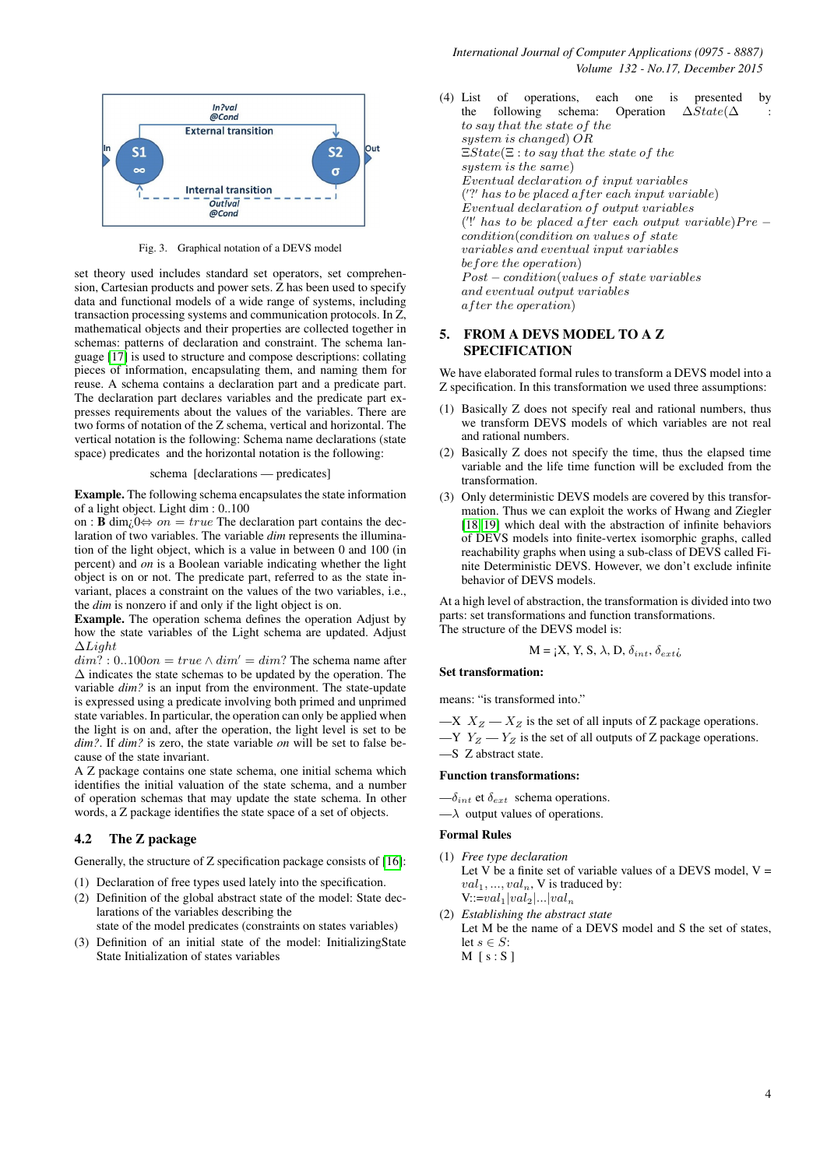

<span id="page-3-0"></span>Fig. 3. Graphical notation of a DEVS model

set theory used includes standard set operators, set comprehension, Cartesian products and power sets. Z has been used to specify data and functional models of a wide range of systems, including transaction processing systems and communication protocols. In Z, mathematical objects and their properties are collected together in schemas: patterns of declaration and constraint. The schema language [\[17\]](#page-6-15) is used to structure and compose descriptions: collating pieces of information, encapsulating them, and naming them for reuse. A schema contains a declaration part and a predicate part. The declaration part declares variables and the predicate part expresses requirements about the values of the variables. There are two forms of notation of the Z schema, vertical and horizontal. The vertical notation is the following: Schema name declarations (state space) predicates and the horizontal notation is the following:

#### schema [declarations — predicates]

Example. The following schema encapsulates the state information of a light object. Light dim : 0..100

on : **B** dim<sub>i</sub>, $0 \Leftrightarrow$  on = true The declaration part contains the declaration of two variables. The variable *dim* represents the illumination of the light object, which is a value in between 0 and 100 (in percent) and *on* is a Boolean variable indicating whether the light object is on or not. The predicate part, referred to as the state invariant, places a constraint on the values of the two variables, i.e., the *dim* is nonzero if and only if the light object is on.

Example. The operation schema defines the operation Adjust by how the state variables of the Light schema are updated. Adjust ∆Light

 $dim?: 0..100$ on =  $true \wedge dim' = dim?$  The schema name after ∆ indicates the state schemas to be updated by the operation. The variable *dim?* is an input from the environment. The state-update is expressed using a predicate involving both primed and unprimed state variables. In particular, the operation can only be applied when the light is on and, after the operation, the light level is set to be *dim?*. If *dim?* is zero, the state variable *on* will be set to false because of the state invariant.

A Z package contains one state schema, one initial schema which identifies the initial valuation of the state schema, and a number of operation schemas that may update the state schema. In other words, a Z package identifies the state space of a set of objects.

## 4.2 The Z package

Generally, the structure of Z specification package consists of [\[16\]](#page-6-14):

- (1) Declaration of free types used lately into the specification.
- (2) Definition of the global abstract state of the model: State declarations of the variables describing the
- state of the model predicates (constraints on states variables)
- (3) Definition of an initial state of the model: InitializingState State Initialization of states variables

(4) List of operations, each one is presented by the following schema: Operation  $\Delta State(\Delta)$ :  $\Delta State(\Delta$  : to say that the state of the system is changed) OR  $EState(\Xi: to\ say\ that\ the\ state\ of\ the$ system is the same) Eventual declaration of input variables ('?' has to be placed after each input variable) Eventual declaration of output variables  $(')'$  has to be placed after each output variable) $Pre$ condition(condition on values of state variables and eventual input variables before the operation)  $Post - condition(value of state\ variables$ and eventual output variables after the operation)

# 5. FROM A DEVS MODEL TO A Z SPECIFICATION

We have elaborated formal rules to transform a DEVS model into a Z specification. In this transformation we used three assumptions:

- (1) Basically Z does not specify real and rational numbers, thus we transform DEVS models of which variables are not real and rational numbers.
- (2) Basically Z does not specify the time, thus the elapsed time variable and the life time function will be excluded from the transformation.
- (3) Only deterministic DEVS models are covered by this transformation. Thus we can exploit the works of Hwang and Ziegler [\[18,](#page-6-16) [19\]](#page-6-17) which deal with the abstraction of infinite behaviors of DEVS models into finite-vertex isomorphic graphs, called reachability graphs when using a sub-class of DEVS called Finite Deterministic DEVS. However, we don't exclude infinite behavior of DEVS models.

At a high level of abstraction, the transformation is divided into two parts: set transformations and function transformations. The structure of the DEVS model is:

$$
M = iX, Y, S, \lambda, D, \delta_{int}, \delta_{ext}
$$

#### Set transformation:

means: "is transformed into."

—X  $X_Z - X_Z$  is the set of all inputs of Z package operations.  $-Y Y_Z - Y_Z$  is the set of all outputs of Z package operations. —S Z abstract state.

#### Function transformations:

 $-\delta_{int}$  et  $\delta_{ext}$  schema operations.

 $-\lambda$  output values of operations.

#### Formal Rules

- (1) *Free type declaration* Let V be a finite set of variable values of a DEVS model,  $V =$  $val_1, ..., val_n$ , V is traduced by:  $V:=val_1|val_2|...|val_n$
- (2) *Establishing the abstract state* Let M be the name of a DEVS model and S the set of states, let  $s \in S$ :  $M$  [s : S]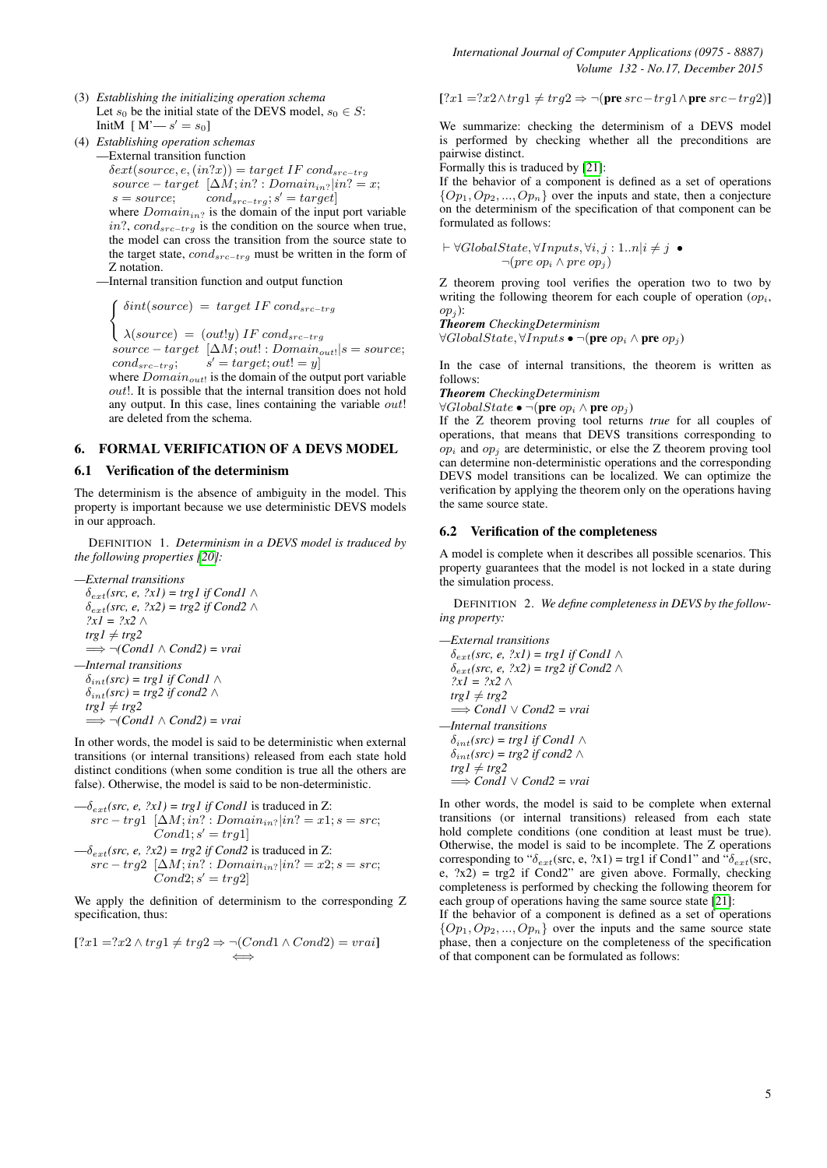- (3) *Establishing the initializing operation schema* Let  $s_0$  be the initial state of the DEVS model,  $s_0 \in S$ : InitM  $[M'-s'=s_0]$
- (4) *Establishing operation schemas* —External transition function  $\delta ext(source, e, (in?x)) = target \ IF \ cond_{src-trq}$ source – target  $[\Delta M; in? : Domain_{in?}|in? = x;$ <br>s = source: condens trais' = target

 $s = source; \tcond_{src-trg}$ ;  $s' = target$ where  $Domain_{in?}$  is the domain of the input port variable in?,  $cond_{src-trg}$  is the condition on the source when true, the model can cross the transition from the source state to the target state,  $cond_{src-trg}$  must be written in the form of Z notation.

—Internal transition function and output function

$$
\int \delta int (source) = target IF\,cond_{src-trg}
$$

 $\big\{\lambda(source) = (out!y) \text{ IF } cond_{src-trg}\big\}$ 

 $source - target \ [\Delta M; out! : Domain_{out!} | s = source;$  $cond_{src-trg}$ ;  $s' = target; out! = y$ 

where  $Domain_{out!}$  is the domain of the output port variable out!. It is possible that the internal transition does not hold any output. In this case, lines containing the variable *out*! are deleted from the schema.

# 6. FORMAL VERIFICATION OF A DEVS MODEL

#### 6.1 Verification of the determinism

The determinism is the absence of ambiguity in the model. This property is important because we use deterministic DEVS models in our approach.

DEFINITION 1. *Determinism in a DEVS model is traduced by the following properties [\[20\]](#page-6-18):*

$$
-External transitions
$$
\n
$$
\delta_{ext}(src, e, ?xI) = trgl if CondI \land
$$
\n
$$
\delta_{ext}(src, e, ?x2) = trg2 if Cond2 \land
$$
\n
$$
?xI = ?x2 \land
$$
\n
$$
trgl \neq trg2
$$
\n
$$
\implies \neg (CondI \land Cond2) = vrai
$$
\n
$$
-Internal transitions
$$
\n
$$
\delta_{int}(src) = trgl if CondI \land
$$
\n
$$
\delta_{int}(src) = trg2 if cond2 \land
$$
\n
$$
trgl \neq trg2
$$
\n
$$
\implies \neg (CondI \land Cond2) = vrai
$$

In other words, the model is said to be deterministic when external transitions (or internal transitions) released from each state hold distinct conditions (when some condition is true all the others are false). Otherwise, the model is said to be non-deterministic.

$$
-\delta_{ext}(src, e, ?xI) = trgl if Cond1 is traded in Z:src - trgl [ \Delta M; in? : Domainin? | in? = x1; s = src;Cond1; s' = trgl ]-\delta_{ext}(src, e, ?x2) = trg2 if Cond2 is traded in Z:src - trg2 [ \Delta M; in? : Domainin? | in? = x2; s = src;Cond2; s' = trg2]
$$

We apply the definition of determinism to the corresponding Z specification, thus:

$$
[?x1 = ?x2 \land trg1 \neq trg2 \Rightarrow \neg (Cond1 \land Cond2) = vrai]
$$

[?x1 =?x2∧trg1  $\neq trg2$  ⇒ ¬(pre src−trg1∧pre src−trg2)]

We summarize: checking the determinism of a DEVS model is performed by checking whether all the preconditions are pairwise distinct.

Formally this is traduced by [\[21\]](#page-7-0):

If the behavior of a component is defined as a set of operations  $\{Op_1, Op_2, ..., Op_n\}$  over the inputs and state, then a conjecture on the determinism of the specification of that component can be formulated as follows:

$$
\vdash \forall GlobalState, \forall Inputs, \forall i, j : 1..n | i \neq j \bullet \neg (pre op_i \land pre op_j)
$$

Z theorem proving tool verifies the operation two to two by writing the following theorem for each couple of operation  $(op_i,$  $op_i$ :

#### *Theorem CheckingDeterminism*  $\forall GlobalState, \forall Inputs \bullet \neg (pre \ op_i \land pre \ op_j)$

In the case of internal transitions, the theorem is written as follows:

*Theorem CheckingDeterminism*

 $\forall GlobalState \bullet \neg (pre op_i \land pre op_j)$ 

If the Z theorem proving tool returns *true* for all couples of operations, that means that DEVS transitions corresponding to  $op<sub>i</sub>$  and  $op<sub>j</sub>$  are deterministic, or else the Z theorem proving tool can determine non-deterministic operations and the corresponding DEVS model transitions can be localized. We can optimize the verification by applying the theorem only on the operations having the same source state.

#### 6.2 Verification of the completeness

A model is complete when it describes all possible scenarios. This property guarantees that the model is not locked in a state during the simulation process.

DEFINITION 2. *We define completeness in DEVS by the following property:*

```
—External transitions
  \delta_{ext}(src, e, ?xI) = trgl if Cond1 ∧
  \delta_{ext}(src, e, ?x2) = trg2 if Cond2 \wedge?x1 = ?x2 ∧
  trgl \neq trg2=⇒ Cond1 ∨ Cond2 = vrai
—Internal transitions
  \delta_{int}(src) = trgl if Cond1 \wedge\delta_{int}(src) = trg2 \text{ if } cond2 \wedge
```
 $trgl \neq trg2$ =⇒ *Cond1* ∨ *Cond2 = vrai*

In other words, the model is said to be complete when external transitions (or internal transitions) released from each state hold complete conditions (one condition at least must be true). Otherwise, the model is said to be incomplete. The Z operations corresponding to " $\delta_{ext}$ (src, e, ?x1) = trg1 if Cond1" and " $\delta_{ext}$ (src, e,  $?x2$ ) = trg2 if Cond2" are given above. Formally, checking completeness is performed by checking the following theorem for each group of operations having the same source state [\[21\]](#page-7-0):

If the behavior of a component is defined as a set of operations  $\{Op_1, Op_2, ..., Op_n\}$  over the inputs and the same source state phase, then a conjecture on the completeness of the specification of that component can be formulated as follows: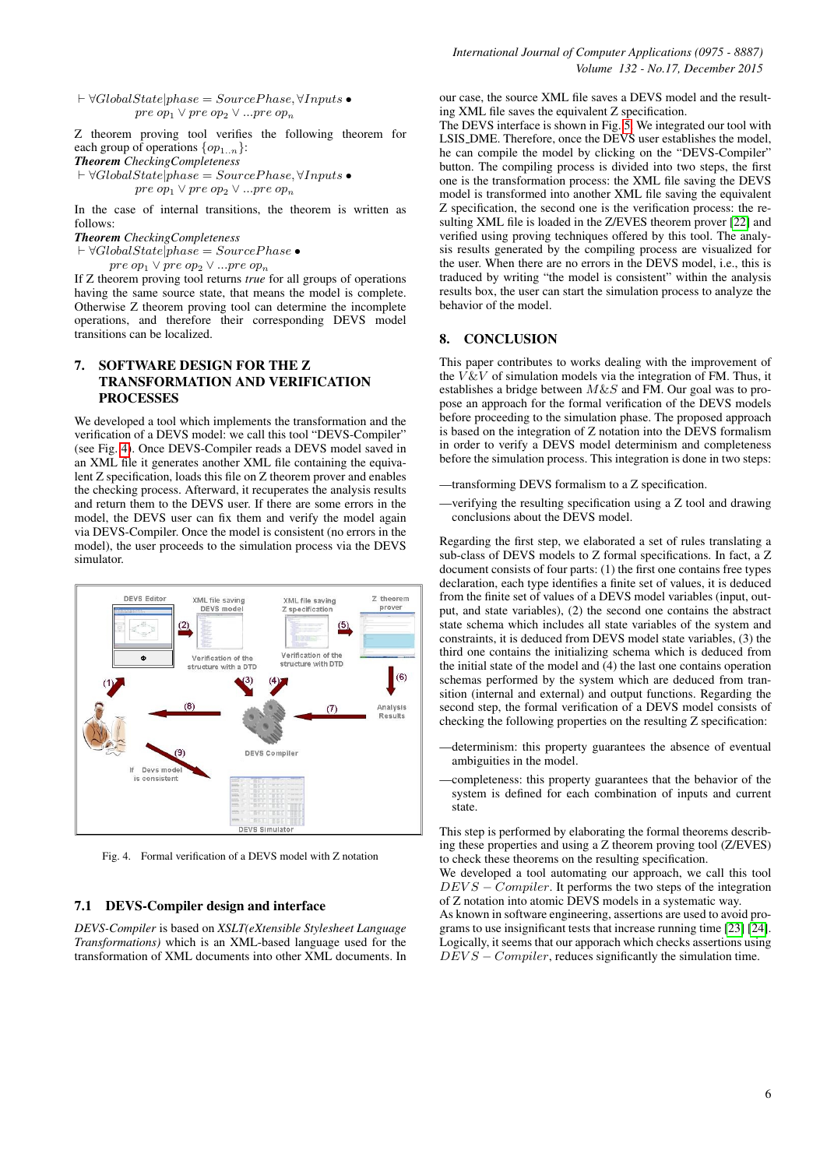$\vdash \forall GlobalState|phase = SourcePhase, \forall Inputs \bullet$ pre op<sub>1</sub> ∨ pre op<sub>2</sub> ∨ ...pre op<sub>n</sub>

Z theorem proving tool verifies the following theorem for each group of operations  $\{op_{1..n}\}\$ :

*Theorem CheckingCompleteness*

 $\forall GlobalState|phase = SourcePhase, \forall Inputs \bullet$ pre op $_1 \vee$  pre op $_2 \vee ...$ pre op $_n$ 

In the case of internal transitions, the theorem is written as follows:

*Theorem CheckingCompleteness*

 $\vdash \forall GlobalState\check{[phase = SourcePhase \bullet]}$ 

 $pre op_1 \vee pre op_2 \vee ... pre op_n$ 

If Z theorem proving tool returns *true* for all groups of operations having the same source state, that means the model is complete. Otherwise Z theorem proving tool can determine the incomplete operations, and therefore their corresponding DEVS model transitions can be localized.

# 7. SOFTWARE DESIGN FOR THE Z TRANSFORMATION AND VERIFICATION PROCESSES

We developed a tool which implements the transformation and the verification of a DEVS model: we call this tool "DEVS-Compiler" (see Fig. [4\)](#page-5-0). Once DEVS-Compiler reads a DEVS model saved in an XML file it generates another XML file containing the equivalent Z specification, loads this file on Z theorem prover and enables the checking process. Afterward, it recuperates the analysis results and return them to the DEVS user. If there are some errors in the model, the DEVS user can fix them and verify the model again via DEVS-Compiler. Once the model is consistent (no errors in the model), the user proceeds to the simulation process via the DEVS simulator.



<span id="page-5-0"></span>Fig. 4. Formal verification of a DEVS model with Z notation

### 7.1 DEVS-Compiler design and interface

*DEVS-Compiler* is based on *XSLT(eXtensible Stylesheet Language Transformations)* which is an XML-based language used for the transformation of XML documents into other XML documents. In

our case, the source XML file saves a DEVS model and the resulting XML file saves the equivalent Z specification.

The DEVS interface is shown in Fig. [5.](#page-6-19) We integrated our tool with LSIS DME. Therefore, once the DEVS user establishes the model, he can compile the model by clicking on the "DEVS-Compiler" button. The compiling process is divided into two steps, the first one is the transformation process: the XML file saving the DEVS model is transformed into another XML file saving the equivalent Z specification, the second one is the verification process: the re-sulting XML file is loaded in the Z/EVES theorem prover [\[22\]](#page-7-1) and verified using proving techniques offered by this tool. The analysis results generated by the compiling process are visualized for the user. When there are no errors in the DEVS model, i.e., this is traduced by writing "the model is consistent" within the analysis results box, the user can start the simulation process to analyze the behavior of the model.

# 8. CONCLUSION

This paper contributes to works dealing with the improvement of the  $V \& V$  of simulation models via the integration of FM. Thus, it establishes a bridge between  $M\&S$  and FM. Our goal was to propose an approach for the formal verification of the DEVS models before proceeding to the simulation phase. The proposed approach is based on the integration of Z notation into the DEVS formalism in order to verify a DEVS model determinism and completeness before the simulation process. This integration is done in two steps:

- —transforming DEVS formalism to a Z specification.
- —verifying the resulting specification using a Z tool and drawing conclusions about the DEVS model.

Regarding the first step, we elaborated a set of rules translating a sub-class of DEVS models to Z formal specifications. In fact, a Z document consists of four parts: (1) the first one contains free types declaration, each type identifies a finite set of values, it is deduced from the finite set of values of a DEVS model variables (input, output, and state variables), (2) the second one contains the abstract state schema which includes all state variables of the system and constraints, it is deduced from DEVS model state variables, (3) the third one contains the initializing schema which is deduced from the initial state of the model and (4) the last one contains operation schemas performed by the system which are deduced from transition (internal and external) and output functions. Regarding the second step, the formal verification of a DEVS model consists of checking the following properties on the resulting Z specification:

- —determinism: this property guarantees the absence of eventual ambiguities in the model.
- —completeness: this property guarantees that the behavior of the system is defined for each combination of inputs and current state.

This step is performed by elaborating the formal theorems describing these properties and using a Z theorem proving tool (Z/EVES) to check these theorems on the resulting specification.

We developed a tool automating our approach, we call this tool  $DEVS - Complier$ . It performs the two steps of the integration of Z notation into atomic DEVS models in a systematic way.

As known in software engineering, assertions are used to avoid programs to use insignificant tests that increase running time [\[23\]](#page-7-2) [\[24\]](#page-7-3). Logically, it seems that our apporach which checks assertions using  $DEVS - Complier$ , reduces significantly the simulation time.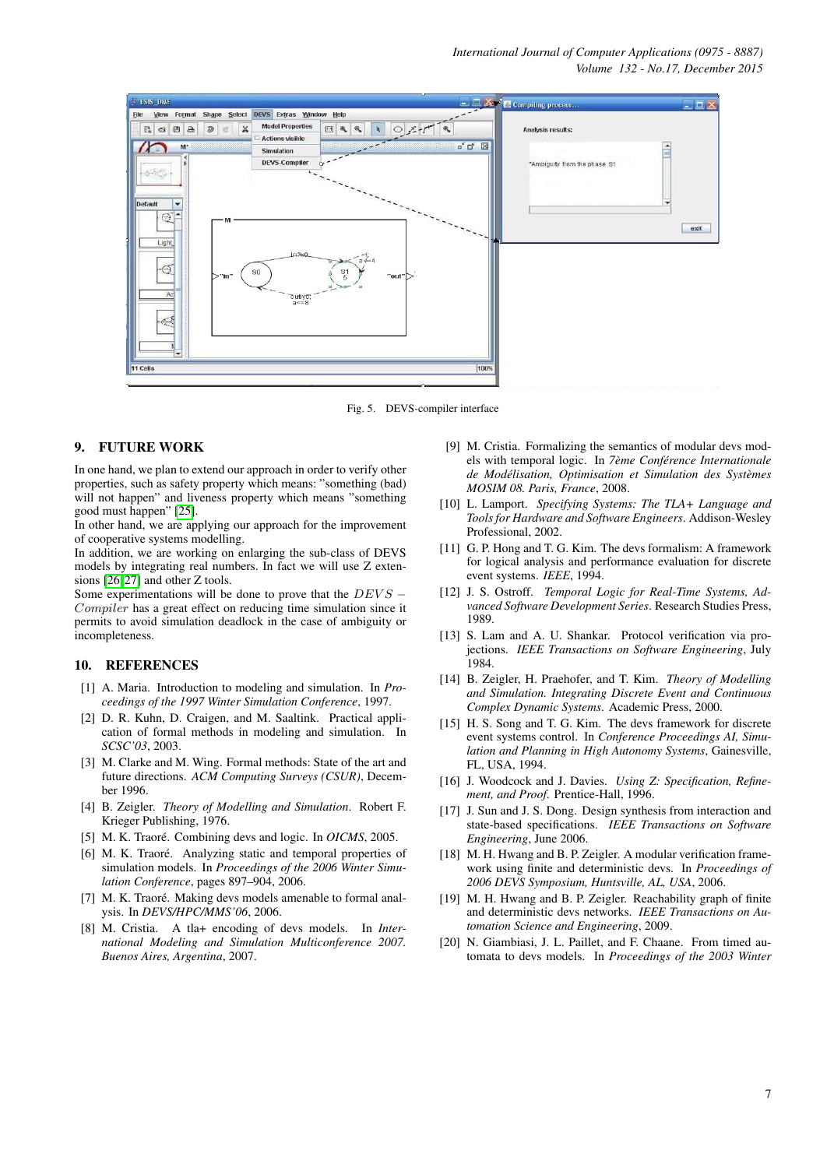

<span id="page-6-19"></span>Fig. 5. DEVS-compiler interface

## 9. FUTURE WORK

In one hand, we plan to extend our approach in order to verify other properties, such as safety property which means: "something (bad) will not happen" and liveness property which means "something good must happen" [\[25\]](#page-7-4).

In other hand, we are applying our approach for the improvement of cooperative systems modelling.

In addition, we are working on enlarging the sub-class of DEVS models by integrating real numbers. In fact we will use Z extensions [\[26,](#page-7-5) [27\]](#page-7-6) and other Z tools.

Some experimentations will be done to prove that the  $DEVS -$ Compiler has a great effect on reducing time simulation since it permits to avoid simulation deadlock in the case of ambiguity or incompleteness.

## 10. REFERENCES

- <span id="page-6-0"></span>[1] A. Maria. Introduction to modeling and simulation. In *Proceedings of the 1997 Winter Simulation Conference*, 1997.
- <span id="page-6-1"></span>[2] D. R. Kuhn, D. Craigen, and M. Saaltink. Practical application of formal methods in modeling and simulation. In *SCSC'03*, 2003.
- <span id="page-6-2"></span>[3] M. Clarke and M. Wing. Formal methods: State of the art and future directions. *ACM Computing Surveys (CSUR)*, December 1996.
- <span id="page-6-3"></span>[4] B. Zeigler. *Theory of Modelling and Simulation*. Robert F. Krieger Publishing, 1976.
- <span id="page-6-4"></span>[5] M. K. Traoré. Combining devs and logic. In *OICMS*, 2005.
- [6] M. K. Traoré. Analyzing static and temporal properties of simulation models. In *Proceedings of the 2006 Winter Simulation Conference*, pages 897–904, 2006.
- <span id="page-6-5"></span>[7] M. K. Traoré. Making devs models amenable to formal analysis. In *DEVS/HPC/MMS'06*, 2006.
- <span id="page-6-6"></span>[8] M. Cristia. A tla+ encoding of devs models. In *International Modeling and Simulation Multiconference 2007. Buenos Aires, Argentina*, 2007.
- <span id="page-6-7"></span>[9] M. Cristia. Formalizing the semantics of modular devs models with temporal logic. In 7ème Conférence Internationale *de Modélisation, Optimisation et Simulation des Systèmes MOSIM 08. Paris, France*, 2008.
- <span id="page-6-8"></span>[10] L. Lamport. *Specifying Systems: The TLA+ Language and Tools for Hardware and Software Engineers*. Addison-Wesley Professional, 2002.
- <span id="page-6-9"></span>[11] G. P. Hong and T. G. Kim. The devs formalism: A framework for logical analysis and performance evaluation for discrete event systems. *IEEE*, 1994.
- <span id="page-6-10"></span>[12] J. S. Ostroff. *Temporal Logic for Real-Time Systems, Advanced Software Development Series*. Research Studies Press, 1989.
- <span id="page-6-11"></span>[13] S. Lam and A. U. Shankar. Protocol verification via projections. *IEEE Transactions on Software Engineering*, July 1984.
- <span id="page-6-12"></span>[14] B. Zeigler, H. Praehofer, and T. Kim. *Theory of Modelling and Simulation. Integrating Discrete Event and Continuous Complex Dynamic Systems*. Academic Press, 2000.
- <span id="page-6-13"></span>[15] H. S. Song and T. G. Kim. The devs framework for discrete event systems control. In *Conference Proceedings AI, Simulation and Planning in High Autonomy Systems*, Gainesville, FL, USA, 1994.
- <span id="page-6-14"></span>[16] J. Woodcock and J. Davies. *Using Z: Specification, Refinement, and Proof*. Prentice-Hall, 1996.
- <span id="page-6-15"></span>[17] J. Sun and J. S. Dong. Design synthesis from interaction and state-based specifications. *IEEE Transactions on Software Engineering*, June 2006.
- <span id="page-6-16"></span>[18] M. H. Hwang and B. P. Zeigler. A modular verification framework using finite and deterministic devs. In *Proceedings of 2006 DEVS Symposium, Huntsville, AL, USA*, 2006.
- <span id="page-6-17"></span>[19] M. H. Hwang and B. P. Zeigler. Reachability graph of finite and deterministic devs networks. *IEEE Transactions on Automation Science and Engineering*, 2009.
- <span id="page-6-18"></span>[20] N. Giambiasi, J. L. Paillet, and F. Chaane. From timed automata to devs models. In *Proceedings of the 2003 Winter*